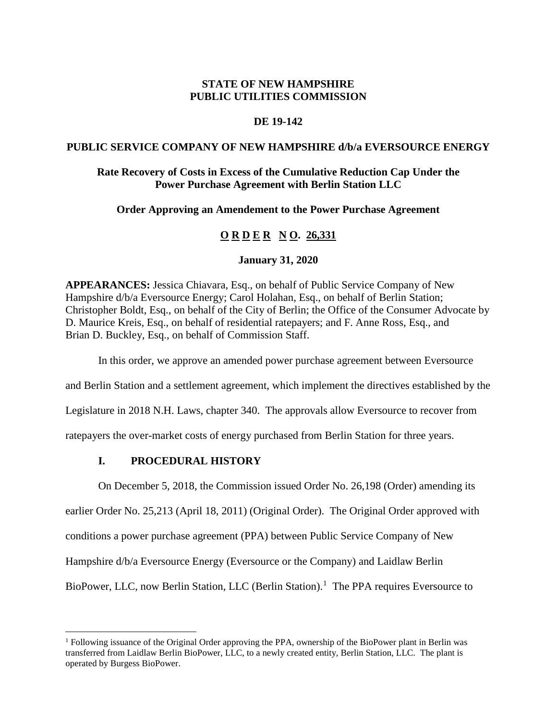# **STATE OF NEW HAMPSHIRE PUBLIC UTILITIES COMMISSION**

# **DE 19-142**

## **PUBLIC SERVICE COMPANY OF NEW HAMPSHIRE d/b/a EVERSOURCE ENERGY**

# **Rate Recovery of Costs in Excess of the Cumulative Reduction Cap Under the Power Purchase Agreement with Berlin Station LLC**

## **Order Approving an Amendement to the Power Purchase Agreement**

# **O R D E R N O. 26,331**

## **January 31, 2020**

**APPEARANCES:** Jessica Chiavara, Esq., on behalf of Public Service Company of New Hampshire  $d/b/a$  Eversource Energy; Carol Holahan, Esq., on behalf of Berlin Station; Christopher Boldt, Esq., on behalf of the City of Berlin; the Office of the Consumer Advocate by D. Maurice Kreis, Esq., on behalf of residential ratepayers; and F. Anne Ross, Esq., and Brian D. Buckley, Esq., on behalf of Commission Staff.

In this order, we approve an amended power purchase agreement between Eversource

and Berlin Station and a settlement agreement, which implement the directives established by the

Legislature in 2018 N.H. Laws, chapter 340. The approvals allow Eversource to recover from

ratepayers the over-market costs of energy purchased from Berlin Station for three years.

## **I. PROCEDURAL HISTORY**

On December 5, 2018, the Commission issued Order No. 26,198 (Order) amending its

earlier Order No. 25,213 (April 18, 2011) (Original Order). The Original Order approved with conditions a power purchase agreement (PPA) between Public Service Company of New Hampshire d/b/a Eversource Energy (Eversource or the Company) and Laidlaw Berlin

BioPower, LLC, now Berlin Station, LLC (Berlin Station).<sup>[1](#page-0-0)</sup> The PPA requires Eversource to

<span id="page-0-0"></span><sup>&</sup>lt;sup>1</sup> Following issuance of the Original Order approving the PPA, ownership of the BioPower plant in Berlin was transferred from Laidlaw Berlin BioPower, LLC, to a newly created entity, Berlin Station, LLC. The plant is operated by Burgess BioPower.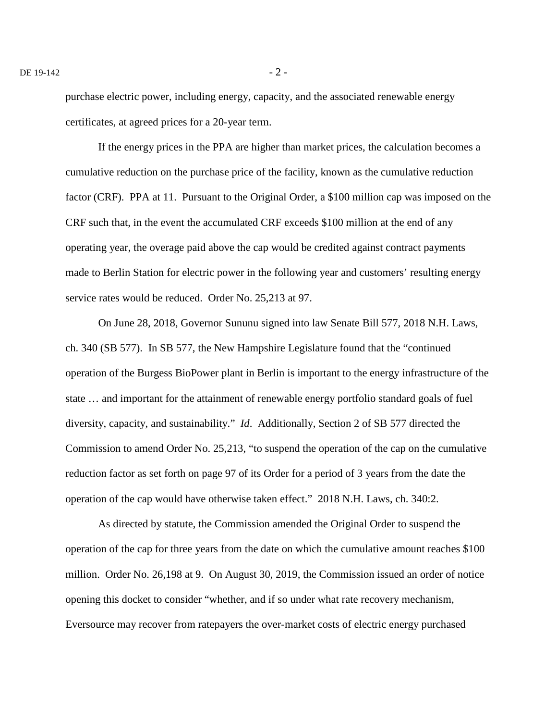purchase electric power, including energy, capacity, and the associated renewable energy certificates, at agreed prices for a 20-year term.

If the energy prices in the PPA are higher than market prices, the calculation becomes a cumulative reduction on the purchase price of the facility, known as the cumulative reduction factor (CRF). PPA at 11. Pursuant to the Original Order, a \$100 million cap was imposed on the CRF such that, in the event the accumulated CRF exceeds \$100 million at the end of any operating year, the overage paid above the cap would be credited against contract payments made to Berlin Station for electric power in the following year and customers' resulting energy service rates would be reduced. Order No. 25,213 at 97.

On June 28, 2018, Governor Sununu signed into law Senate Bill 577, 2018 N.H. Laws, ch. 340 (SB 577). In SB 577, the New Hampshire Legislature found that the "continued operation of the Burgess BioPower plant in Berlin is important to the energy infrastructure of the state … and important for the attainment of renewable energy portfolio standard goals of fuel diversity, capacity, and sustainability." *Id*. Additionally, Section 2 of SB 577 directed the Commission to amend Order No. 25,213, "to suspend the operation of the cap on the cumulative reduction factor as set forth on page 97 of its Order for a period of 3 years from the date the operation of the cap would have otherwise taken effect." 2018 N.H. Laws, ch. 340:2.

As directed by statute, the Commission amended the Original Order to suspend the operation of the cap for three years from the date on which the cumulative amount reaches \$100 million. Order No. 26,198 at 9. On August 30, 2019, the Commission issued an order of notice opening this docket to consider "whether, and if so under what rate recovery mechanism, Eversource may recover from ratepayers the over-market costs of electric energy purchased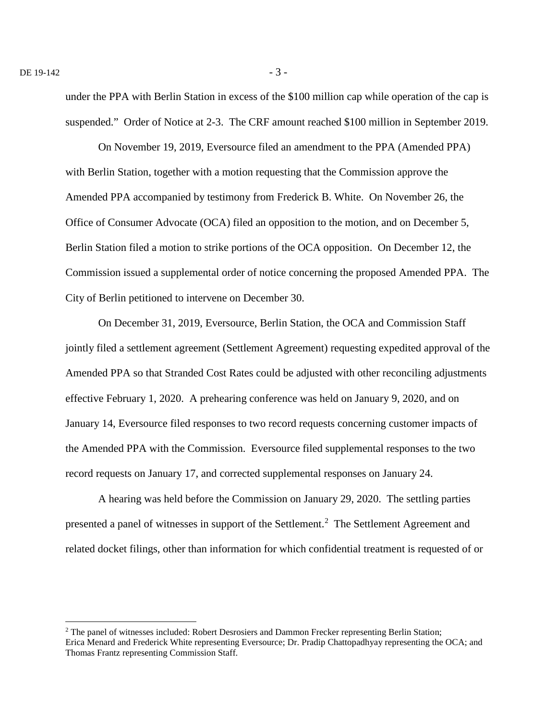under the PPA with Berlin Station in excess of the \$100 million cap while operation of the cap is suspended." Order of Notice at 2-3. The CRF amount reached \$100 million in September 2019.

On November 19, 2019, Eversource filed an amendment to the PPA (Amended PPA) with Berlin Station, together with a motion requesting that the Commission approve the Amended PPA accompanied by testimony from Frederick B. White. On November 26, the Office of Consumer Advocate (OCA) filed an opposition to the motion, and on December 5, Berlin Station filed a motion to strike portions of the OCA opposition. On December 12, the Commission issued a supplemental order of notice concerning the proposed Amended PPA. The City of Berlin petitioned to intervene on December 30.

On December 31, 2019, Eversource, Berlin Station, the OCA and Commission Staff jointly filed a settlement agreement (Settlement Agreement) requesting expedited approval of the Amended PPA so that Stranded Cost Rates could be adjusted with other reconciling adjustments effective February 1, 2020. A prehearing conference was held on January 9, 2020, and on January 14, Eversource filed responses to two record requests concerning customer impacts of the Amended PPA with the Commission. Eversource filed supplemental responses to the two record requests on January 17, and corrected supplemental responses on January 24.

A hearing was held before the Commission on January 29, 2020. The settling parties presented a panel of witnesses in support of the Settlement.[2](#page-2-0) The Settlement Agreement and related docket filings, other than information for which confidential treatment is requested of or

<span id="page-2-0"></span><sup>&</sup>lt;sup>2</sup> The panel of witnesses included: Robert Desrosiers and Dammon Frecker representing Berlin Station; Erica Menard and Frederick White representing Eversource; Dr. Pradip Chattopadhyay representing the OCA; and Thomas Frantz representing Commission Staff.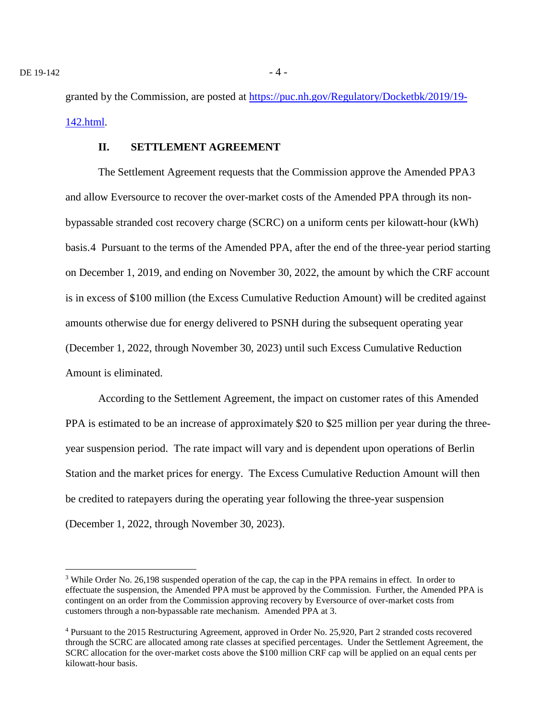granted by the Commission, are posted at [https://puc.nh.gov/Regulatory/Docketbk/2019/19-](https://puc.nh.gov/Regulatory/Docketbk/2019/19-142.html) [142.html.](https://puc.nh.gov/Regulatory/Docketbk/2019/19-142.html)

## **II. SETTLEMENT AGREEMENT**

The Settlement Agreement requests that the Commission approve the Amended PPA[3](#page-3-0) and allow Eversource to recover the over-market costs of the Amended PPA through its nonbypassable stranded cost recovery charge (SCRC) on a uniform cents per kilowatt-hour (kWh) basis.[4](#page-3-1) Pursuant to the terms of the Amended PPA, after the end of the three-year period starting on December 1, 2019, and ending on November 30, 2022, the amount by which the CRF account is in excess of \$100 million (the Excess Cumulative Reduction Amount) will be credited against amounts otherwise due for energy delivered to PSNH during the subsequent operating year (December 1, 2022, through November 30, 2023) until such Excess Cumulative Reduction Amount is eliminated.

According to the Settlement Agreement, the impact on customer rates of this Amended PPA is estimated to be an increase of approximately \$20 to \$25 million per year during the threeyear suspension period. The rate impact will vary and is dependent upon operations of Berlin Station and the market prices for energy. The Excess Cumulative Reduction Amount will then be credited to ratepayers during the operating year following the three-year suspension (December 1, 2022, through November 30, 2023).

<span id="page-3-0"></span><sup>&</sup>lt;sup>3</sup> While Order No. 26,198 suspended operation of the cap, the cap in the PPA remains in effect. In order to effectuate the suspension, the Amended PPA must be approved by the Commission. Further, the Amended PPA is contingent on an order from the Commission approving recovery by Eversource of over-market costs from customers through a non-bypassable rate mechanism. Amended PPA at 3.

<span id="page-3-1"></span><sup>4</sup> Pursuant to the 2015 Restructuring Agreement, approved in Order No. 25,920, Part 2 stranded costs recovered through the SCRC are allocated among rate classes at specified percentages. Under the Settlement Agreement, the SCRC allocation for the over-market costs above the \$100 million CRF cap will be applied on an equal cents per kilowatt-hour basis.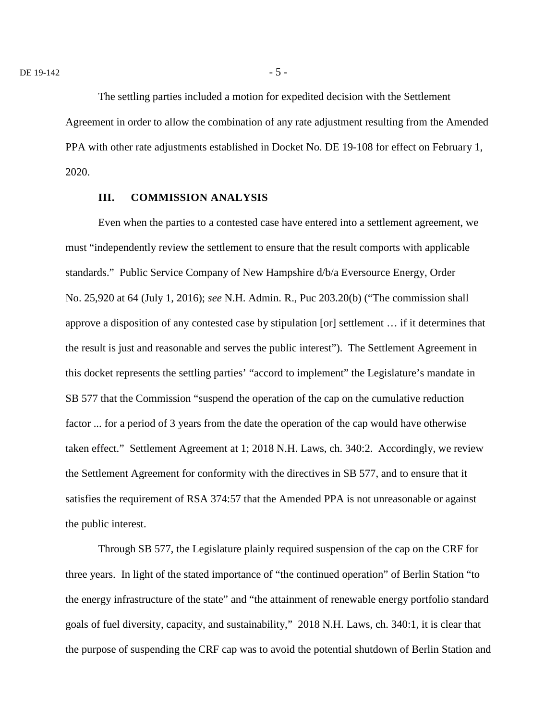The settling parties included a motion for expedited decision with the Settlement Agreement in order to allow the combination of any rate adjustment resulting from the Amended PPA with other rate adjustments established in Docket No. DE 19-108 for effect on February 1, 2020.

#### **III. COMMISSION ANALYSIS**

Even when the parties to a contested case have entered into a settlement agreement, we must "independently review the settlement to ensure that the result comports with applicable standards." Public Service Company of New Hampshire d/b/a Eversource Energy, Order No. 25,920 at 64 (July 1, 2016); *see* N.H. Admin. R., Puc 203.20(b) ("The commission shall approve a disposition of any contested case by stipulation [or] settlement … if it determines that the result is just and reasonable and serves the public interest"). The Settlement Agreement in this docket represents the settling parties' "accord to implement" the Legislature's mandate in SB 577 that the Commission "suspend the operation of the cap on the cumulative reduction factor ... for a period of 3 years from the date the operation of the cap would have otherwise taken effect." Settlement Agreement at 1; 2018 N.H. Laws, ch. 340:2. Accordingly, we review the Settlement Agreement for conformity with the directives in SB 577, and to ensure that it satisfies the requirement of RSA 374:57 that the Amended PPA is not unreasonable or against the public interest.

Through SB 577, the Legislature plainly required suspension of the cap on the CRF for three years. In light of the stated importance of "the continued operation" of Berlin Station "to the energy infrastructure of the state" and "the attainment of renewable energy portfolio standard goals of fuel diversity, capacity, and sustainability," 2018 N.H. Laws, ch. 340:1, it is clear that the purpose of suspending the CRF cap was to avoid the potential shutdown of Berlin Station and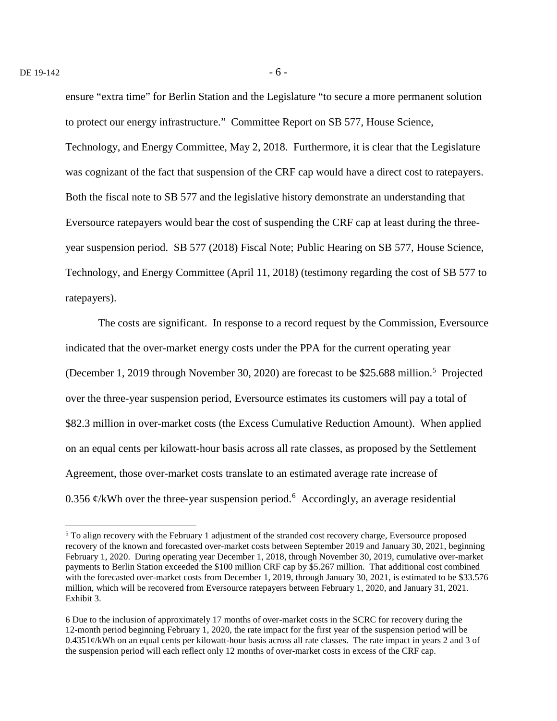ensure "extra time" for Berlin Station and the Legislature "to secure a more permanent solution to protect our energy infrastructure." Committee Report on SB 577, House Science, Technology, and Energy Committee, May 2, 2018. Furthermore, it is clear that the Legislature was cognizant of the fact that suspension of the CRF cap would have a direct cost to ratepayers. Both the fiscal note to SB 577 and the legislative history demonstrate an understanding that Eversource ratepayers would bear the cost of suspending the CRF cap at least during the threeyear suspension period. SB 577 (2018) Fiscal Note; Public Hearing on SB 577, House Science, Technology, and Energy Committee (April 11, 2018) (testimony regarding the cost of SB 577 to ratepayers).

The costs are significant. In response to a record request by the Commission, Eversource indicated that the over-market energy costs under the PPA for the current operating year (December 1, 2019 through November 30, 2020) are forecast to be \$2[5](#page-5-0).688 million.<sup>5</sup> Projected over the three-year suspension period, Eversource estimates its customers will pay a total of \$82.3 million in over-market costs (the Excess Cumulative Reduction Amount). When applied on an equal cents per kilowatt-hour basis across all rate classes, as proposed by the Settlement Agreement, those over-market costs translate to an estimated average rate increase of 0.35[6](#page-5-1)  $\phi$ /kWh over the three-year suspension period.<sup>6</sup> Accordingly, an average residential

<span id="page-5-0"></span><sup>&</sup>lt;sup>5</sup> To align recovery with the February 1 adjustment of the stranded cost recovery charge, Eversource proposed recovery of the known and forecasted over-market costs between September 2019 and January 30, 2021, beginning February 1, 2020. During operating year December 1, 2018, through November 30, 2019, cumulative over-market payments to Berlin Station exceeded the \$100 million CRF cap by \$5.267 million. That additional cost combined with the forecasted over-market costs from December 1, 2019, through January 30, 2021, is estimated to be \$33.576 million, which will be recovered from Eversource ratepayers between February 1, 2020, and January 31, 2021. Exhibit 3.

<span id="page-5-1"></span><sup>6</sup> Due to the inclusion of approximately 17 months of over-market costs in the SCRC for recovery during the 12-month period beginning February 1, 2020, the rate impact for the first year of the suspension period will be 0.4351¢/kWh on an equal cents per kilowatt-hour basis across all rate classes. The rate impact in years 2 and 3 of the suspension period will each reflect only 12 months of over-market costs in excess of the CRF cap.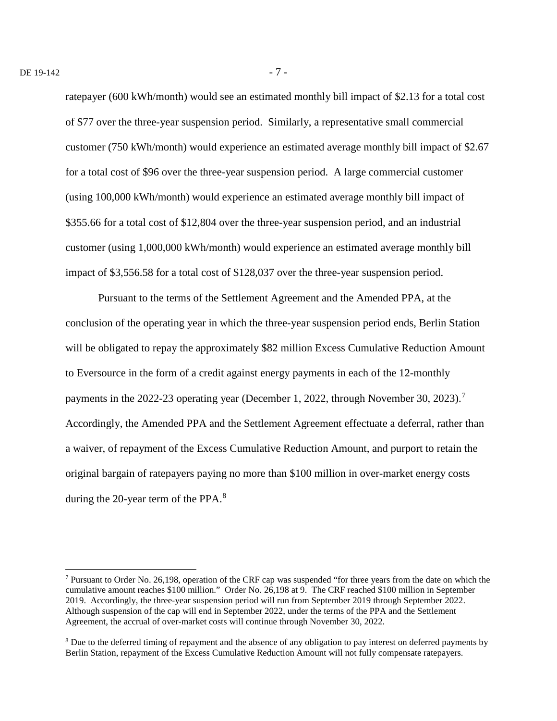ratepayer (600 kWh/month) would see an estimated monthly bill impact of \$2.13 for a total cost of \$77 over the three-year suspension period. Similarly, a representative small commercial customer (750 kWh/month) would experience an estimated average monthly bill impact of \$2.67 for a total cost of \$96 over the three-year suspension period. A large commercial customer (using 100,000 kWh/month) would experience an estimated average monthly bill impact of \$355.66 for a total cost of \$12,804 over the three-year suspension period, and an industrial customer (using 1,000,000 kWh/month) would experience an estimated average monthly bill impact of \$3,556.58 for a total cost of \$128,037 over the three-year suspension period.

Pursuant to the terms of the Settlement Agreement and the Amended PPA, at the conclusion of the operating year in which the three-year suspension period ends, Berlin Station will be obligated to repay the approximately \$82 million Excess Cumulative Reduction Amount to Eversource in the form of a credit against energy payments in each of the 12-monthly payments in the 2022-23 operating year (December 1, 2022, through November 30, 2023).<sup>[7](#page-6-0)</sup> Accordingly, the Amended PPA and the Settlement Agreement effectuate a deferral, rather than a waiver, of repayment of the Excess Cumulative Reduction Amount, and purport to retain the original bargain of ratepayers paying no more than \$100 million in over-market energy costs during the 20-year term of the PPA. $8$ 

<span id="page-6-0"></span> <sup>7</sup> Pursuant to Order No. 26,198, operation of the CRF cap was suspended "for three years from the date on which the cumulative amount reaches \$100 million." Order No. 26,198 at 9. The CRF reached \$100 million in September 2019. Accordingly, the three-year suspension period will run from September 2019 through September 2022. Although suspension of the cap will end in September 2022, under the terms of the PPA and the Settlement Agreement, the accrual of over-market costs will continue through November 30, 2022.

<span id="page-6-1"></span><sup>&</sup>lt;sup>8</sup> Due to the deferred timing of repayment and the absence of any obligation to pay interest on deferred payments by Berlin Station, repayment of the Excess Cumulative Reduction Amount will not fully compensate ratepayers.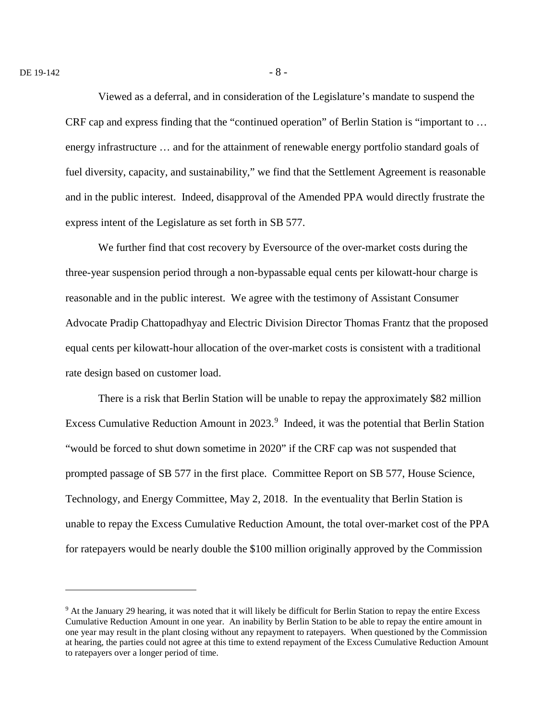$\overline{a}$ 

Viewed as a deferral, and in consideration of the Legislature's mandate to suspend the CRF cap and express finding that the "continued operation" of Berlin Station is "important to … energy infrastructure … and for the attainment of renewable energy portfolio standard goals of fuel diversity, capacity, and sustainability," we find that the Settlement Agreement is reasonable and in the public interest. Indeed, disapproval of the Amended PPA would directly frustrate the express intent of the Legislature as set forth in SB 577.

We further find that cost recovery by Eversource of the over-market costs during the three-year suspension period through a non-bypassable equal cents per kilowatt-hour charge is reasonable and in the public interest. We agree with the testimony of Assistant Consumer Advocate Pradip Chattopadhyay and Electric Division Director Thomas Frantz that the proposed equal cents per kilowatt-hour allocation of the over-market costs is consistent with a traditional rate design based on customer load.

There is a risk that Berlin Station will be unable to repay the approximately \$82 million Excess Cumulative Reduction Amount in 2023.<sup>[9](#page-7-0)</sup> Indeed, it was the potential that Berlin Station "would be forced to shut down sometime in 2020" if the CRF cap was not suspended that prompted passage of SB 577 in the first place. Committee Report on SB 577, House Science, Technology, and Energy Committee, May 2, 2018. In the eventuality that Berlin Station is unable to repay the Excess Cumulative Reduction Amount, the total over-market cost of the PPA for ratepayers would be nearly double the \$100 million originally approved by the Commission

<span id="page-7-0"></span><sup>9</sup> At the January 29 hearing, it was noted that it will likely be difficult for Berlin Station to repay the entire Excess Cumulative Reduction Amount in one year. An inability by Berlin Station to be able to repay the entire amount in one year may result in the plant closing without any repayment to ratepayers. When questioned by the Commission at hearing, the parties could not agree at this time to extend repayment of the Excess Cumulative Reduction Amount to ratepayers over a longer period of time.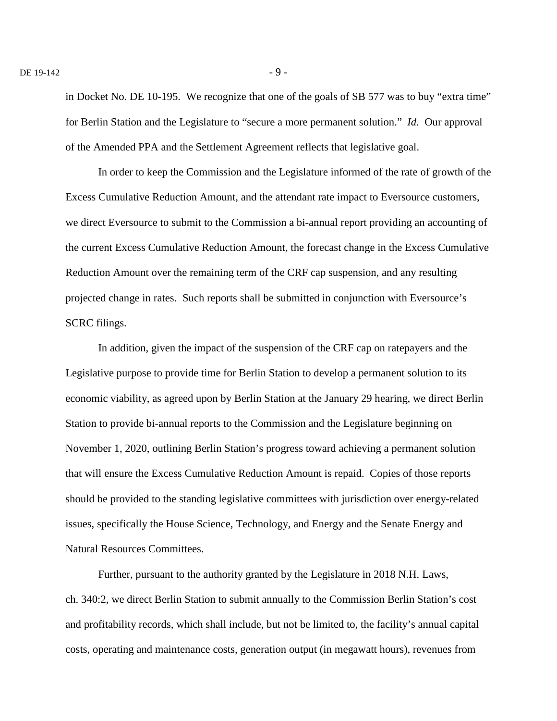in Docket No. DE 10-195. We recognize that one of the goals of SB 577 was to buy "extra time" for Berlin Station and the Legislature to "secure a more permanent solution." *Id.* Our approval of the Amended PPA and the Settlement Agreement reflects that legislative goal.

In order to keep the Commission and the Legislature informed of the rate of growth of the Excess Cumulative Reduction Amount, and the attendant rate impact to Eversource customers, we direct Eversource to submit to the Commission a bi-annual report providing an accounting of the current Excess Cumulative Reduction Amount, the forecast change in the Excess Cumulative Reduction Amount over the remaining term of the CRF cap suspension, and any resulting projected change in rates. Such reports shall be submitted in conjunction with Eversource's SCRC filings.

In addition, given the impact of the suspension of the CRF cap on ratepayers and the Legislative purpose to provide time for Berlin Station to develop a permanent solution to its economic viability, as agreed upon by Berlin Station at the January 29 hearing, we direct Berlin Station to provide bi-annual reports to the Commission and the Legislature beginning on November 1, 2020, outlining Berlin Station's progress toward achieving a permanent solution that will ensure the Excess Cumulative Reduction Amount is repaid. Copies of those reports should be provided to the standing legislative committees with jurisdiction over energy-related issues, specifically the House Science, Technology, and Energy and the Senate Energy and Natural Resources Committees.

Further, pursuant to the authority granted by the Legislature in 2018 N.H. Laws, ch. 340:2, we direct Berlin Station to submit annually to the Commission Berlin Station's cost and profitability records, which shall include, but not be limited to, the facility's annual capital costs, operating and maintenance costs, generation output (in megawatt hours), revenues from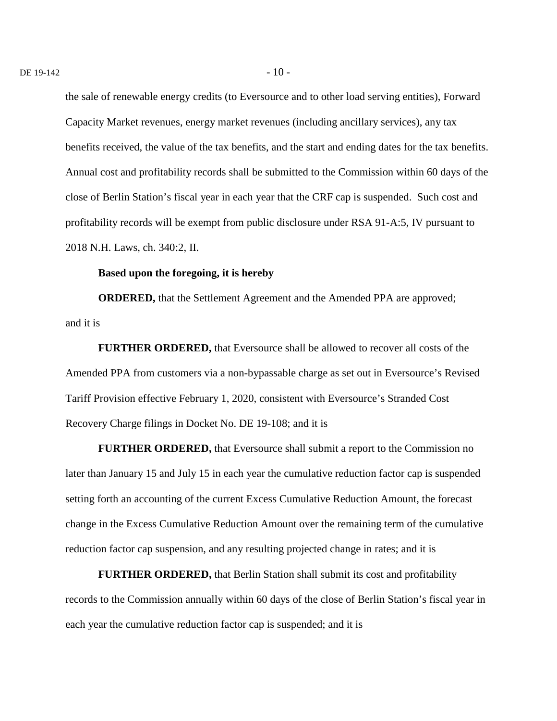the sale of renewable energy credits (to Eversource and to other load serving entities), Forward Capacity Market revenues, energy market revenues (including ancillary services), any tax benefits received, the value of the tax benefits, and the start and ending dates for the tax benefits. Annual cost and profitability records shall be submitted to the Commission within 60 days of the close of Berlin Station's fiscal year in each year that the CRF cap is suspended. Such cost and profitability records will be exempt from public disclosure under RSA 91-A:5, IV pursuant to 2018 N.H. Laws, ch. 340:2, II.

#### **Based upon the foregoing, it is hereby**

**ORDERED,** that the Settlement Agreement and the Amended PPA are approved; and it is

**FURTHER ORDERED,** that Eversource shall be allowed to recover all costs of the Amended PPA from customers via a non-bypassable charge as set out in Eversource's Revised Tariff Provision effective February 1, 2020, consistent with Eversource's Stranded Cost Recovery Charge filings in Docket No. DE 19-108; and it is

**FURTHER ORDERED,** that Eversource shall submit a report to the Commission no later than January 15 and July 15 in each year the cumulative reduction factor cap is suspended setting forth an accounting of the current Excess Cumulative Reduction Amount, the forecast change in the Excess Cumulative Reduction Amount over the remaining term of the cumulative reduction factor cap suspension, and any resulting projected change in rates; and it is

**FURTHER ORDERED,** that Berlin Station shall submit its cost and profitability records to the Commission annually within 60 days of the close of Berlin Station's fiscal year in each year the cumulative reduction factor cap is suspended; and it is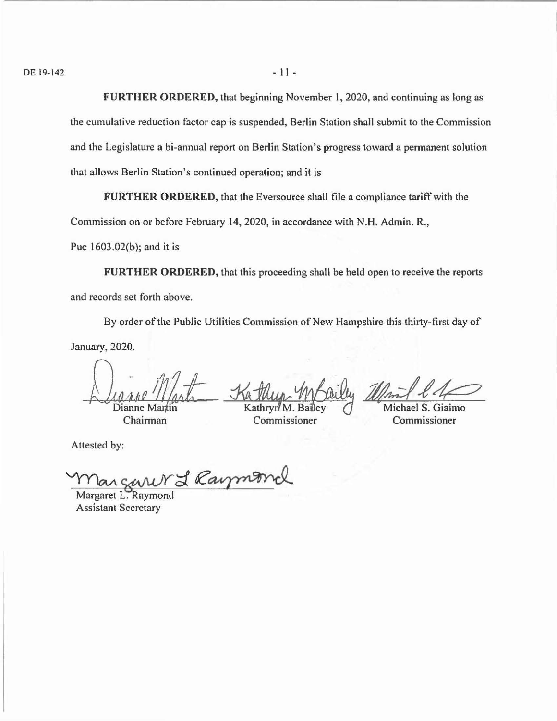**FURTHER ORDERED,** that beginning November I, 2020, and continuing as long as

lhe cumulative reduction factor cap is suspended, Berlin Station shall submit to the Commission and the Legislature a bi-annual report on Berlin Station's progress toward a permanent solution that allows Berlin Station's continued operation; and it is

**FURTHER ORDERED,** that the Eversource shall file a compliance tariff with the

Commission on or before February 14, 2020, in accordance with N.H. Admin. R.,

Puc 1603.02(b); and it is

**FURTHER ORDERED,** that this proceeding shall be held open to receive the reports and records set forth above.

By order of the Public Utilities Commission of New Hampshire this thirty-first day of January, 2020.

Dianne Martin

Chairman

Kathup Mbaily 200m

 $\mathbb{Z}/\mathbb{Z}$ 

iaimo Commissioner

Commissioner

I Raymond

Margaret L. Raymond Assistant Secretary

Attested by: